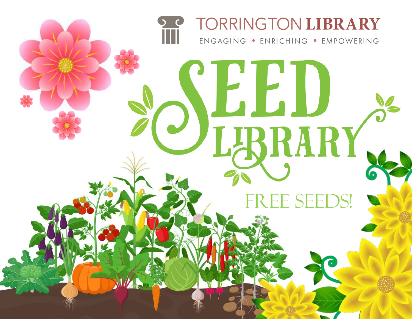## TORRINGTON LIBRARY ENGAGING . ENRICHING . EMPOWERING [EED LARARY. E SEEDS